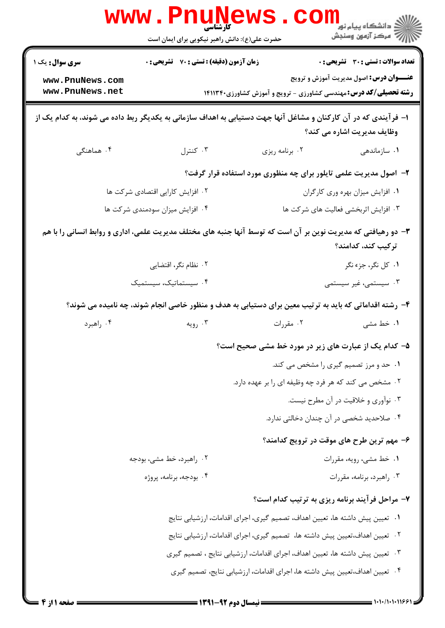| <b>WWW</b> .                                                                                                                                  | <b>PULLE</b><br><b>کارشناسی</b><br>حضرت علی(ع): دانش راهبر نیکویی برای ایمان است                       |                                                                              | ر دانشگاه پيام نور <mark>−</mark><br>ا∛ مرکز آزمون وسنجش |  |  |
|-----------------------------------------------------------------------------------------------------------------------------------------------|--------------------------------------------------------------------------------------------------------|------------------------------------------------------------------------------|----------------------------------------------------------|--|--|
| <b>سری سوال :</b> یک ۱                                                                                                                        | زمان آزمون (دقیقه) : تستی : 70 ٪ تشریحی : 0                                                            |                                                                              | تعداد سوالات : تستى : 30 ٪ تشريحي : 0                    |  |  |
| www.PnuNews.com<br>www.PnuNews.net                                                                                                            |                                                                                                        | <b>رشته تحصیلی/کد درس:</b> مهندسی کشاورزی - ترویج و آموزش کشاورزی۲۴۱۱۳۴۰     | <b>عنـــوان درس:</b> اصول مدیریت آموزش و ترویج           |  |  |
| ا– فرآیندی که در آن کارکنان و مشاغل آنها جهت دستیابی به اهداف سازمانی به یکدیگر ربط داده می شوند، به کدام یک از<br>وظایف مدیریت اشاره می کند؟ |                                                                                                        |                                                                              |                                                          |  |  |
| ۰۴ هماهنگی                                                                                                                                    | ۰۳ کنترل                                                                                               | ۰۲ برنامه ریزی                                                               | ۰۱ سازماندهی                                             |  |  |
|                                                                                                                                               |                                                                                                        | ۲- اصول مدیریت علمی تایلور برای چه منظوری مورد استفاده قرار گرفت؟            |                                                          |  |  |
| ۰۲ افزایش کارایی اقتصادی شرکت ها                                                                                                              |                                                                                                        |                                                                              | ٠١ افزايش ميزان بهره ورى كاركران                         |  |  |
|                                                                                                                                               | ۰۴ افزایش میزان سودمندی شرکت ها                                                                        |                                                                              | ۰۳ افزایش اثربخشی فعالیت های شرکت ها                     |  |  |
| ۳- دو رهیافتی که مدیریت نوین بر آن است که توسط آنها جنبه های مختلف مدیریت علمی، اداری و روابط انسانی را با هم<br>ترکیب کند، کدامند؟           |                                                                                                        |                                                                              |                                                          |  |  |
|                                                                                                                                               | ۰۲ نظام نگر، اقتضایی                                                                                   |                                                                              | ۰۱ کل نگر، جزء نگر                                       |  |  |
|                                                                                                                                               | ۰۴ سیستماتیک، سیستمیک                                                                                  |                                                                              | ۰۳ سیستمی، غیر سیستمی                                    |  |  |
|                                                                                                                                               | ۴- رشته اقداماتی که باید به ترتیب معین برای دستیابی به هدف و منظور خاصی انجام شوند، چه نامیده می شوند؟ |                                                                              |                                                          |  |  |
| ۰۴ راهبرد                                                                                                                                     | ۰۳ رویه                                                                                                | ۰۲ مقررات                                                                    | ۱. خط مشی                                                |  |  |
|                                                                                                                                               |                                                                                                        | ۵– کدام یک از عبارت های زیر در مورد خط مشی صحیح است؟                         |                                                          |  |  |
|                                                                                                                                               |                                                                                                        |                                                                              | ۰۱ حد و مرز تصمیم گیری را مشخص می کند.                   |  |  |
| ۰۲ مشخص می کند که هر فرد چه وظیفه ای را بر عهده دارد.                                                                                         |                                                                                                        |                                                                              |                                                          |  |  |
|                                                                                                                                               |                                                                                                        |                                                                              | ۰۳ نوآوری و خلاقیت در آن مطرح نیست.                      |  |  |
|                                                                                                                                               |                                                                                                        |                                                                              | ۰۴ صلاحدید شخصی در آن چندان دخالتی ندارد.                |  |  |
|                                                                                                                                               |                                                                                                        |                                                                              | ۶- مهم ترین طرح های موقت در ترویج کدامند؟                |  |  |
|                                                                                                                                               | ۰۲ راهبرد، خط مشی، بودجه                                                                               |                                                                              | ۰۱ خط مشي، رويه، مقررات                                  |  |  |
|                                                                                                                                               | ۰۴ بودجه، برنامه، پروژه                                                                                |                                                                              | ۰۳ راهبرد، برنامه، مقررات                                |  |  |
|                                                                                                                                               |                                                                                                        | ۷- مراحل فرآیند برنامه ریزی به ترتیب کدام است؟                               |                                                          |  |  |
|                                                                                                                                               | ۰۱ تعیین پیش داشته ها، تعیین اهداف، تصمیم گیری، اجرای اقدامات، ارزشیابی نتایج                          |                                                                              |                                                          |  |  |
|                                                                                                                                               |                                                                                                        | ۰۲ تعیین اهداف،تعیین پیش داشته ها، تصمیم گیری، اجرای اقدامات، ارزشیابی نتایج |                                                          |  |  |
| ۰۳ تعیین پیش داشته ها، تعیین اهداف، اجرای اقدامات، ارزشیابی نتایج ، تصمیم گیری                                                                |                                                                                                        |                                                                              |                                                          |  |  |
|                                                                                                                                               |                                                                                                        | ۰۴ تعیین اهداف،تعیین پیش داشته ها، اجرای اقدامات، ارزشیابی نتایج، تصمیم گیری |                                                          |  |  |
|                                                                                                                                               |                                                                                                        |                                                                              |                                                          |  |  |

 $=$  1+1+/1+1+1168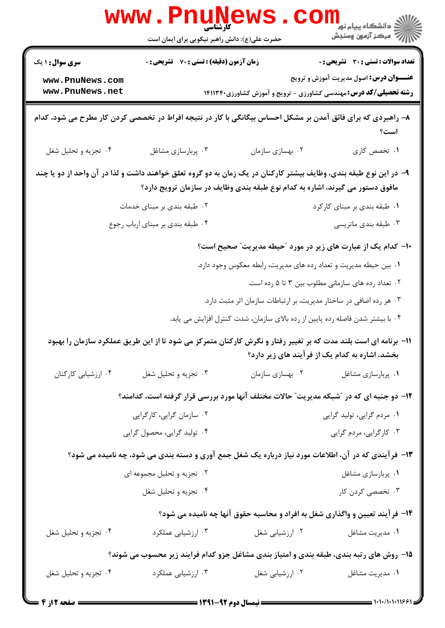|                                    | WWW . FI<br>حضرت علی(ع): دانش راهبر نیکویی برای ایمان است                                                         |                                                                                | ڪ دانشڪاه پيام نور ■<br>// مرکز آزمون وسنجش        |
|------------------------------------|-------------------------------------------------------------------------------------------------------------------|--------------------------------------------------------------------------------|----------------------------------------------------|
| <b>سری سوال : ۱ یک</b>             | زمان آزمون (دقیقه) : تستی : 70 گشریحی : 0                                                                         |                                                                                | <b>تعداد سوالات : تستی : 30 ٪ تشریحی : 0</b>       |
| www.PnuNews.com<br>www.PnuNews.net |                                                                                                                   | <b>رشته تحصیلی/کد درس:</b> مهندسی کشاورزی - ترویج و آموزش کشاورزی14۱۱۳۴۰       | <b>عنـــوان درس:</b> اصول مدیریت آموزش و ترویج     |
|                                    | ۸– راهبردی که برای فائق آمدن بر مشکل احساس بیگانگی با کار در نتیجه افراط در تخصصی کردن کار مطرح می شود، کدام      |                                                                                | است؟                                               |
| ۰۴ تجزیه و تحلیل شغل               | ۰۳ پربارسازی مشاغل                                                                                                | ۰۲ بهسازی سازمان                                                               | ۰۱ تخصص کاری                                       |
|                                    | ۹– در این نوع طبقه بندی، وظایف بیشتر کارکنان در یک زمان به دو گروه تعلق خواهند داشت و لذا در آن واحد از دو یا چند | مافوق دستور می گیرند، اشاره به کدام نوع طبقه بندی وظایف در سازمان ترویج دارد؟  |                                                    |
|                                    | ۰۲ طبقه بندی بر مبنای خدمات                                                                                       |                                                                                | ۰۱ طبقه بندي بر مبناي كاركرد                       |
|                                    | ۰۴ طبقه بندي بر مبناي ارباب رجوع                                                                                  |                                                                                | ۰۳ طبقه بندي ماتريسي                               |
|                                    |                                                                                                                   | <b>۱۰</b> - کدام یک از عبارت های زیر در مورد "حیطه مدیریت" صحیح است؟           |                                                    |
|                                    |                                                                                                                   | ۰۱ بین حیطه مدیریت و تعداد رده های مدیریت، رابطه معکوس وجود دارد.              |                                                    |
|                                    |                                                                                                                   |                                                                                | ۰۲ تعداد رده های سازمانی مطلوب بین ۳ تا ۵ رده است. |
|                                    |                                                                                                                   | ۰۳ هر رده اضافی در ساختار مدیریت، بر ارتباطات سازمان اثر مثبت دارد.            |                                                    |
|                                    |                                                                                                                   | ۰۴ با بیشتر شدن فاصله رده پایین از رده بالای سازمان، شدت کنترل افزایش می یابد. |                                                    |
|                                    | 1۱– برنامه ای است بلند مدت که بر تغییر رفتار و نگرش کارکنان متمرکز می شود تا از این طریق عملکرد سازمان را بهبود   |                                                                                | بخشد، اشاره به کدام یک از فرآیند های زیر دارد؟     |
| ۰۴ ارزشیابی کارکنان                | ۰۳ تجزیه و تحلیل شغل                                                                                              | ۰۲ بهسازی سازمان                                                               | ٠١ پربارسازي مشاغل                                 |
|                                    | ۱۲- دو جنبه ای که در "شبکه مدیریت" حالات مختلف آنها مورد بررسی قرار گرفته است، کدامند؟                            |                                                                                |                                                    |
|                                    | ۰۲ سازمان گرایی، کارگرایی                                                                                         |                                                                                | ۰۱ مردم گرایی، تولید گرایی                         |
|                                    | ۰۴ تولید گرایی، محصول گرایی                                                                                       |                                                                                | ۰۳ کارگرایی، مردم گرایی                            |
|                                    | ۱۳- فرآیندی که در آن، اطلاعات مورد نیاز درباره یک شغل جمع آوری و دسته بندی می شود، چه نامیده می شود؟              |                                                                                |                                                    |
|                                    | ۰۲ تجزیه و تحلیل مجموعه ای                                                                                        |                                                                                | ۰۱ پربارسازی مشاغل                                 |
|                                    | ۰۴ تجزیه و تحلیل شغل                                                                                              |                                                                                | ۰۳ تخصصی کردن کار                                  |
|                                    |                                                                                                                   | ۱۴- فرآیند تعیین و واگذاری شغل به افراد و محاسبه حقوق آنها چه نامیده می شود؟   |                                                    |
| ۰۴ تجزیه و تحلیل شغل               | ۰۳ ارزشیابی عملکرد                                                                                                | ۰۲ ارزشیابی شغل                                                                | ۰۱ مدیریت مشاغل                                    |
|                                    | ۱۵- روش های رتبه بندی، طبقه بندی و امتیاز بندی مشاغل جزو کدام فرایند زیر محسوب می شوند؟                           |                                                                                |                                                    |
| ۰۴ تجزیه و تحلیل شغل               | ۰۳ ارزشیابی عملکرد                                                                                                | ۰۲ ارزشیابی شغل                                                                | ٠١ مديريت مشاغل                                    |
|                                    |                                                                                                                   |                                                                                | 1.1.11.1.11991                                     |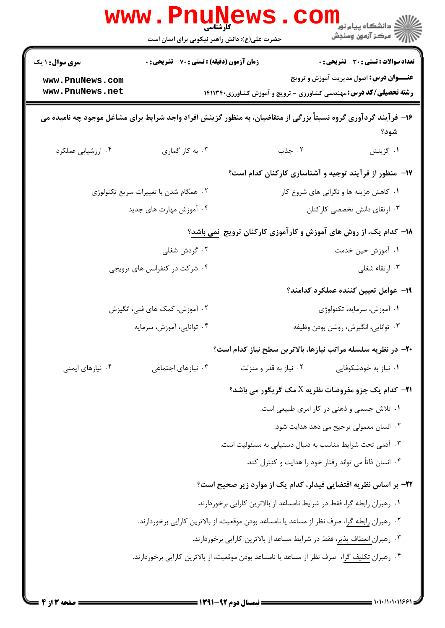|                                    | <b>www.PnuNews</b><br>کا، شناس <i>ی</i><br>حضرت علی(ع): دانش راهبر نیکویی برای ایمان است |                                                                                                                 | ڪ دانشڪاه پيا <sub>م</sub> نور<br><mark>ر</mark> 7 مرڪز آزمون وسنڊش |
|------------------------------------|------------------------------------------------------------------------------------------|-----------------------------------------------------------------------------------------------------------------|---------------------------------------------------------------------|
| <b>سری سوال : ۱ یک</b>             | <b>زمان آزمون (دقیقه) : تستی : 70 ٪ تشریحی : 0</b>                                       |                                                                                                                 | تعداد سوالات : تستي : 30 ٪ تشريحي : 0                               |
| www.PnuNews.com<br>www.PnuNews.net |                                                                                          | <b>رشته تحصیلی/کد درس:</b> مهندسی کشاورزی - ترویج و آموزش کشاورزی۲۱۱۳۴۰                                         | <b>عنـــوان درس:</b> اصول مدیریت آموزش و ترویج                      |
|                                    |                                                                                          | ۱۶– فرآیند گردآوری گروه نسبتاً بزرگی از متقاضیان، به منظور گزینش افراد واجد شرایط برای مشاغل موجود چه نامیده می | شود؟                                                                |
| ۰۴ ارزشیابی عملکرد                 | ۰۳ به کار گماری                                                                          | ۰۲ جذب                                                                                                          | ۰۱ گزينش                                                            |
|                                    |                                                                                          | ۱۷– منظور از فرآیند توجیه و آشناسازی کارکنان کدام است؟                                                          |                                                                     |
|                                    | ۰۲ همگام شدن با تغییرات سریع تکنولوژی                                                    |                                                                                                                 | ۰۱ کاهش هزینه ها و نگرانی های شروع کار                              |
|                                    | ۰۴ آموزش مهارت های جدید                                                                  | ۰۳ ارتقای دانش تخصصی کارکنان                                                                                    |                                                                     |
|                                    |                                                                                          | <b>۱۸</b> - کدام یک، از روش های آموزش و کارآموزی کارکنان ترویج نمی باشد؟                                        |                                                                     |
|                                    | ۰۲ گردش شغلی                                                                             | ٠١. آموزش حين خدمت                                                                                              |                                                                     |
|                                    | ۰۴ شرکت در کنفرانس های ترویجی                                                            |                                                                                                                 | ۰۳ ارتقاء شغلی                                                      |
|                                    |                                                                                          |                                                                                                                 | 1۹– عوامل تعيين كننده عملكرد كدامند؟                                |
|                                    | ۰۲ آموزش، کمک های فنی، انگیزش                                                            | ۰۱ آموزش، سرمایه، تکنولوژی                                                                                      |                                                                     |
| ۰۴ توانایی، آموزش، سرمایه          |                                                                                          |                                                                                                                 | ۰۳ توانایی، انگیزش، روشن بودن وظیفه                                 |
|                                    |                                                                                          | +۲- در نظریه سلسله مراتب نیازها، بالاترین سطح نیاز کدام است؟                                                    |                                                                     |
| ۰۴ نیازهای ایمنی                   | ۰۳ نیازهای اجتماعی                                                                       | ۰۲ نیاز به قدر و منزلت                                                                                          | ۰۱ نیاز به خودشکوفایی                                               |
|                                    |                                                                                          | <b>۲۱</b> کدام یک جزو مفروضات نظریه X مک گریگور می باشد؟                                                        |                                                                     |
|                                    |                                                                                          | ۰۱ تلاش جسمی و ذهنی در کار امری طبیعی است.                                                                      |                                                                     |
|                                    |                                                                                          |                                                                                                                 | ۰۲ انسان معمولی ترجیح می دهد هدایت شود.                             |
|                                    |                                                                                          | ۰۳ آدمی تحت شرایط مناسب به دنبال دستیابی به مسئولیت است.                                                        |                                                                     |
|                                    |                                                                                          | ۰۴ انسان ذاتاً می تواند رفتار خود را هدایت و کنترل کند.                                                         |                                                                     |
|                                    |                                                                                          | ۲۲– بر اساس نظریه اقتضایی فیدلر، کدام یک از موارد زیر صحیح است؟                                                 |                                                                     |
|                                    |                                                                                          | ۰۱ رهبران <u>رابطه گر</u> ا، فقط در شرایط نامساعد از بالاترین کارایی برخوردارند.                                |                                                                     |
|                                    |                                                                                          | ۰۲ رهبران <u>رابطه گر</u> ا، صرف نظر از مساعد یا نامساعد بودن موقعیت، از بالاترین کارایی برخوردارند.            |                                                                     |
|                                    |                                                                                          | ۰۳ رهبرا <u>ن انعطاف پذیر</u> ، فقط در شرایط مساعد از بالاترین کارایی برخوردارند.                               |                                                                     |
|                                    |                                                                                          | ۰۴ رهبران <u>تکلیف گر</u> ا، صرف نظر از مساعد یا نامساعد بودن موقعیت، از بالاترین کارایی برخوردارند.            |                                                                     |
|                                    |                                                                                          |                                                                                                                 |                                                                     |